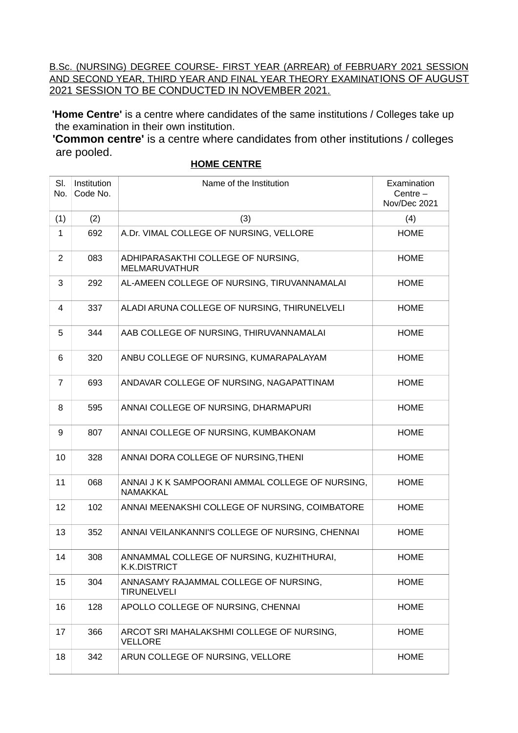B.Sc. (NURSING) DEGREE COURSE- FIRST YEAR (ARREAR) of FEBRUARY 2021 SESSION AND SECOND YEAR, THIRD YEAR AND FINAL YEAR THEORY EXAMINATIONS OF AUGUST 2021 SESSION TO BE CONDUCTED IN NOVEMBER 2021.

**'Home Centre'** is a centre where candidates of the same institutions / Colleges take up the examination in their own institution.

**'Common centre'** is a centre where candidates from other institutions / colleges are pooled.

| SI.<br>No.     | Institution<br>Code No. | Name of the Institution                                          | Examination<br>Centre $-$<br>Nov/Dec 2021 |
|----------------|-------------------------|------------------------------------------------------------------|-------------------------------------------|
| (1)            | (2)                     | (3)                                                              | (4)                                       |
| 1              | 692                     | A.Dr. VIMAL COLLEGE OF NURSING, VELLORE                          | <b>HOME</b>                               |
| $\overline{2}$ | 083                     | ADHIPARASAKTHI COLLEGE OF NURSING,<br><b>MELMARUVATHUR</b>       | <b>HOME</b>                               |
| 3              | 292                     | AL-AMEEN COLLEGE OF NURSING, TIRUVANNAMALAI                      | <b>HOME</b>                               |
| 4              | 337                     | ALADI ARUNA COLLEGE OF NURSING, THIRUNELVELI                     | <b>HOME</b>                               |
| 5              | 344                     | AAB COLLEGE OF NURSING, THIRUVANNAMALAI                          | <b>HOME</b>                               |
| 6              | 320                     | ANBU COLLEGE OF NURSING, KUMARAPALAYAM                           | <b>HOME</b>                               |
| $\overline{7}$ | 693                     | ANDAVAR COLLEGE OF NURSING, NAGAPATTINAM                         | <b>HOME</b>                               |
| 8              | 595                     | ANNAI COLLEGE OF NURSING, DHARMAPURI                             | <b>HOME</b>                               |
| 9              | 807                     | ANNAI COLLEGE OF NURSING, KUMBAKONAM                             | <b>HOME</b>                               |
| 10             | 328                     | ANNAI DORA COLLEGE OF NURSING, THENI                             | <b>HOME</b>                               |
| 11             | 068                     | ANNAI J K K SAMPOORANI AMMAL COLLEGE OF NURSING,<br>NAMAKKAL     | <b>HOME</b>                               |
| 12             | 102                     | ANNAI MEENAKSHI COLLEGE OF NURSING, COIMBATORE                   | <b>HOME</b>                               |
| 13             | 352                     | ANNAI VEILANKANNI'S COLLEGE OF NURSING, CHENNAI                  | <b>HOME</b>                               |
| 14             | 308                     | ANNAMMAL COLLEGE OF NURSING, KUZHITHURAI,<br><b>K.K.DISTRICT</b> | <b>HOME</b>                               |
| 15             | 304                     | ANNASAMY RAJAMMAL COLLEGE OF NURSING,<br><b>TIRUNELVELI</b>      | <b>HOME</b>                               |
| 16             | 128                     | APOLLO COLLEGE OF NURSING, CHENNAI                               | <b>HOME</b>                               |
| 17             | 366                     | ARCOT SRI MAHALAKSHMI COLLEGE OF NURSING,<br><b>VELLORE</b>      | <b>HOME</b>                               |
| 18             | 342                     | ARUN COLLEGE OF NURSING, VELLORE                                 | <b>HOME</b>                               |

## **HOME CENTRE**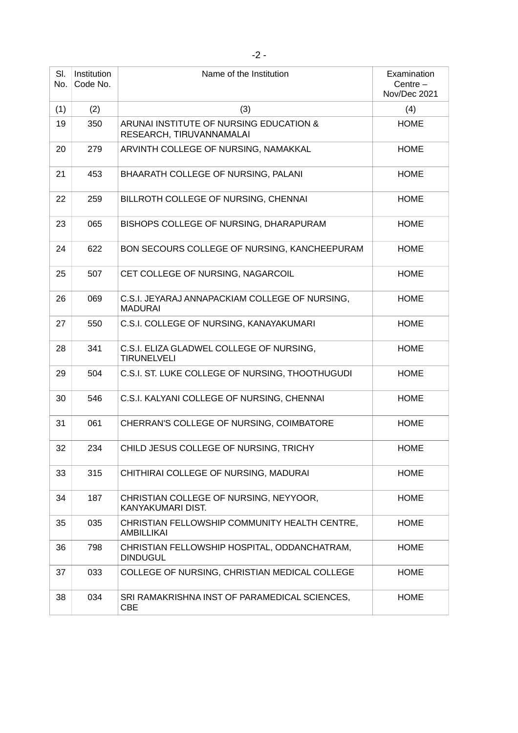| SI.<br>No. | Institution<br>Code No. | Name of the Institution                                             | Examination<br>Centre $-$<br>Nov/Dec 2021 |
|------------|-------------------------|---------------------------------------------------------------------|-------------------------------------------|
| (1)        | (2)                     | (3)                                                                 | (4)                                       |
| 19         | 350                     | ARUNAI INSTITUTE OF NURSING EDUCATION &<br>RESEARCH, TIRUVANNAMALAI | <b>HOME</b>                               |
| 20         | 279                     | ARVINTH COLLEGE OF NURSING, NAMAKKAL                                | <b>HOME</b>                               |
| 21         | 453                     | BHAARATH COLLEGE OF NURSING, PALANI                                 | <b>HOME</b>                               |
| 22         | 259                     | BILLROTH COLLEGE OF NURSING, CHENNAI                                | <b>HOME</b>                               |
| 23         | 065                     | BISHOPS COLLEGE OF NURSING, DHARAPURAM                              | <b>HOME</b>                               |
| 24         | 622                     | BON SECOURS COLLEGE OF NURSING, KANCHEEPURAM                        | <b>HOME</b>                               |
| 25         | 507                     | CET COLLEGE OF NURSING, NAGARCOIL                                   | <b>HOME</b>                               |
| 26         | 069                     | C.S.I. JEYARAJ ANNAPACKIAM COLLEGE OF NURSING,<br><b>MADURAI</b>    | <b>HOME</b>                               |
| 27         | 550                     | C.S.I. COLLEGE OF NURSING, KANAYAKUMARI                             | <b>HOME</b>                               |
| 28         | 341                     | C.S.I. ELIZA GLADWEL COLLEGE OF NURSING,<br><b>TIRUNELVELI</b>      | <b>HOME</b>                               |
| 29         | 504                     | C.S.I. ST. LUKE COLLEGE OF NURSING, THOOTHUGUDI                     | <b>HOME</b>                               |
| 30         | 546                     | C.S.I. KALYANI COLLEGE OF NURSING, CHENNAI                          | <b>HOME</b>                               |
| 31         | 061                     | CHERRAN'S COLLEGE OF NURSING, COIMBATORE                            | <b>HOME</b>                               |
| 32         | 234                     | CHILD JESUS COLLEGE OF NURSING, TRICHY                              | <b>HOME</b>                               |
| 33         | 315                     | CHITHIRAI COLLEGE OF NURSING, MADURAI                               | <b>HOME</b>                               |
| 34         | 187                     | CHRISTIAN COLLEGE OF NURSING, NEYYOOR,<br>KANYAKUMARI DIST.         | <b>HOME</b>                               |
| 35         | 035                     | CHRISTIAN FELLOWSHIP COMMUNITY HEALTH CENTRE,<br>AMBILLIKAI         | <b>HOME</b>                               |
| 36         | 798                     | CHRISTIAN FELLOWSHIP HOSPITAL, ODDANCHATRAM,<br><b>DINDUGUL</b>     | <b>HOME</b>                               |
| 37         | 033                     | COLLEGE OF NURSING, CHRISTIAN MEDICAL COLLEGE                       | <b>HOME</b>                               |
| 38         | 034                     | SRI RAMAKRISHNA INST OF PARAMEDICAL SCIENCES,<br><b>CBE</b>         | <b>HOME</b>                               |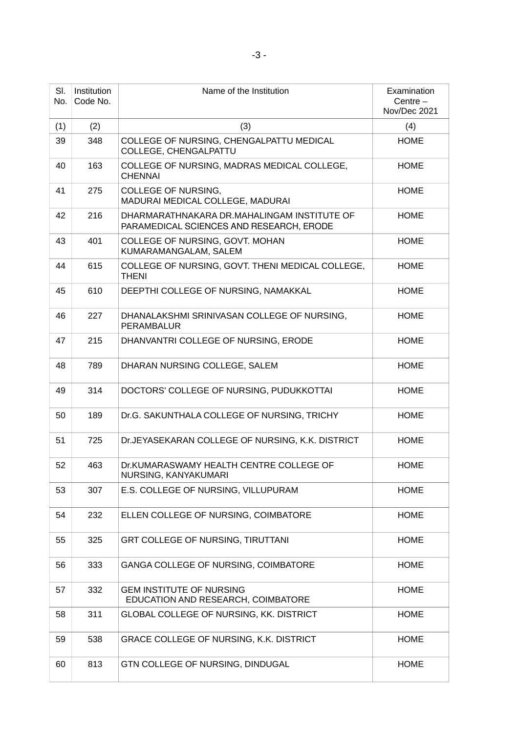| SI.<br>No. | Institution<br>Code No. | Name of the Institution                                                                 | Examination<br>Centre $-$<br>Nov/Dec 2021 |
|------------|-------------------------|-----------------------------------------------------------------------------------------|-------------------------------------------|
| (1)        | (2)                     | (3)                                                                                     | (4)                                       |
| 39         | 348                     | COLLEGE OF NURSING, CHENGALPATTU MEDICAL<br>COLLEGE, CHENGALPATTU                       | <b>HOME</b>                               |
| 40         | 163                     | COLLEGE OF NURSING, MADRAS MEDICAL COLLEGE,<br><b>CHENNAI</b>                           | <b>HOME</b>                               |
| 41         | 275                     | COLLEGE OF NURSING,<br>MADURAI MEDICAL COLLEGE, MADURAI                                 | <b>HOME</b>                               |
| 42         | 216                     | DHARMARATHNAKARA DR.MAHALINGAM INSTITUTE OF<br>PARAMEDICAL SCIENCES AND RESEARCH, ERODE | <b>HOME</b>                               |
| 43         | 401                     | COLLEGE OF NURSING, GOVT. MOHAN<br>KUMARAMANGALAM, SALEM                                | <b>HOME</b>                               |
| 44         | 615                     | COLLEGE OF NURSING, GOVT. THENI MEDICAL COLLEGE,<br><b>THENI</b>                        | <b>HOME</b>                               |
| 45         | 610                     | DEEPTHI COLLEGE OF NURSING, NAMAKKAL                                                    | <b>HOME</b>                               |
| 46         | 227                     | DHANALAKSHMI SRINIVASAN COLLEGE OF NURSING,<br><b>PERAMBALUR</b>                        | <b>HOME</b>                               |
| 47         | 215                     | DHANVANTRI COLLEGE OF NURSING, ERODE                                                    | <b>HOME</b>                               |
| 48         | 789                     | DHARAN NURSING COLLEGE, SALEM                                                           | <b>HOME</b>                               |
| 49         | 314                     | DOCTORS' COLLEGE OF NURSING, PUDUKKOTTAI                                                | <b>HOME</b>                               |
| 50         | 189                     | Dr.G. SAKUNTHALA COLLEGE OF NURSING, TRICHY                                             | <b>HOME</b>                               |
| 51         | 725                     | Dr.JEYASEKARAN COLLEGE OF NURSING, K.K. DISTRICT                                        | <b>HOME</b>                               |
| 52         | 463                     | Dr.KUMARASWAMY HEALTH CENTRE COLLEGE OF<br>NURSING, KANYAKUMARI                         | <b>HOME</b>                               |
| 53         | 307                     | E.S. COLLEGE OF NURSING, VILLUPURAM                                                     | <b>HOME</b>                               |
| 54         | 232                     | ELLEN COLLEGE OF NURSING, COIMBATORE                                                    | <b>HOME</b>                               |
| 55         | 325                     | GRT COLLEGE OF NURSING, TIRUTTANI                                                       | <b>HOME</b>                               |
| 56         | 333                     | GANGA COLLEGE OF NURSING, COIMBATORE                                                    | <b>HOME</b>                               |
| 57         | 332                     | <b>GEM INSTITUTE OF NURSING</b><br>EDUCATION AND RESEARCH, COIMBATORE                   | <b>HOME</b>                               |
| 58         | 311                     | <b>GLOBAL COLLEGE OF NURSING, KK. DISTRICT</b>                                          | <b>HOME</b>                               |
| 59         | 538                     | GRACE COLLEGE OF NURSING, K.K. DISTRICT                                                 | <b>HOME</b>                               |
| 60         | 813                     | GTN COLLEGE OF NURSING, DINDUGAL                                                        | <b>HOME</b>                               |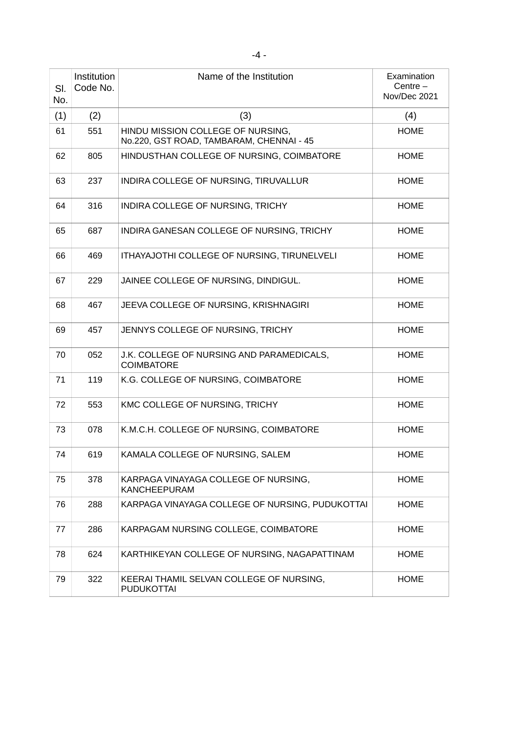| SI.<br>No. | Institution<br>Code No. | Name of the Institution                                                       | Examination<br>Centre $-$<br>Nov/Dec 2021 |
|------------|-------------------------|-------------------------------------------------------------------------------|-------------------------------------------|
| (1)        | (2)                     | (3)                                                                           | (4)                                       |
| 61         | 551                     | HINDU MISSION COLLEGE OF NURSING,<br>No.220, GST ROAD, TAMBARAM, CHENNAI - 45 | <b>HOME</b>                               |
| 62         | 805                     | HINDUSTHAN COLLEGE OF NURSING, COIMBATORE                                     | <b>HOME</b>                               |
| 63         | 237                     | INDIRA COLLEGE OF NURSING, TIRUVALLUR                                         | <b>HOME</b>                               |
| 64         | 316                     | INDIRA COLLEGE OF NURSING, TRICHY                                             | <b>HOME</b>                               |
| 65         | 687                     | INDIRA GANESAN COLLEGE OF NURSING, TRICHY                                     | <b>HOME</b>                               |
| 66         | 469                     | ITHAYAJOTHI COLLEGE OF NURSING, TIRUNELVELI                                   | <b>HOME</b>                               |
| 67         | 229                     | JAINEE COLLEGE OF NURSING, DINDIGUL.                                          | <b>HOME</b>                               |
| 68         | 467                     | JEEVA COLLEGE OF NURSING, KRISHNAGIRI                                         | <b>HOME</b>                               |
| 69         | 457                     | JENNYS COLLEGE OF NURSING, TRICHY                                             | <b>HOME</b>                               |
| 70         | 052                     | J.K. COLLEGE OF NURSING AND PARAMEDICALS,<br><b>COIMBATORE</b>                | <b>HOME</b>                               |
| 71         | 119                     | K.G. COLLEGE OF NURSING, COIMBATORE                                           | <b>HOME</b>                               |
| 72         | 553                     | KMC COLLEGE OF NURSING, TRICHY                                                | <b>HOME</b>                               |
| 73         | 078                     | K.M.C.H. COLLEGE OF NURSING, COIMBATORE                                       | <b>HOME</b>                               |
| 74         | 619                     | KAMALA COLLEGE OF NURSING, SALEM                                              | <b>HOME</b>                               |
| 75         | 378                     | KARPAGA VINAYAGA COLLEGE OF NURSING,<br><b>KANCHEEPURAM</b>                   | <b>HOME</b>                               |
| 76         | 288                     | KARPAGA VINAYAGA COLLEGE OF NURSING, PUDUKOTTAI                               | <b>HOME</b>                               |
| 77         | 286                     | KARPAGAM NURSING COLLEGE, COIMBATORE                                          | <b>HOME</b>                               |
| 78         | 624                     | KARTHIKEYAN COLLEGE OF NURSING, NAGAPATTINAM                                  | <b>HOME</b>                               |
| 79         | 322                     | KEERAI THAMIL SELVAN COLLEGE OF NURSING,<br><b>PUDUKOTTAI</b>                 | <b>HOME</b>                               |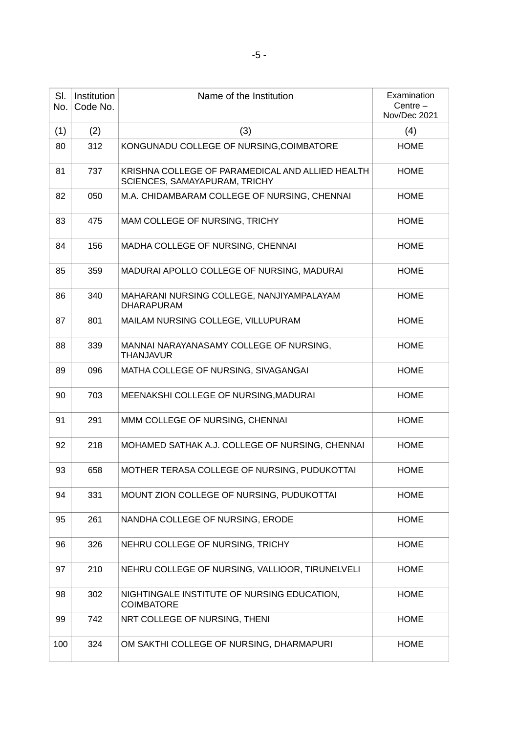| SI.<br>No. | Institution<br>Code No. | Name of the Institution                                                           | Examination<br>Centre $-$<br>Nov/Dec 2021 |
|------------|-------------------------|-----------------------------------------------------------------------------------|-------------------------------------------|
| (1)        | (2)                     | (3)                                                                               | (4)                                       |
| 80         | 312                     | KONGUNADU COLLEGE OF NURSING, COIMBATORE                                          | <b>HOME</b>                               |
| 81         | 737                     | KRISHNA COLLEGE OF PARAMEDICAL AND ALLIED HEALTH<br>SCIENCES, SAMAYAPURAM, TRICHY | <b>HOME</b>                               |
| 82         | 050                     | M.A. CHIDAMBARAM COLLEGE OF NURSING, CHENNAI                                      | <b>HOME</b>                               |
| 83         | 475                     | MAM COLLEGE OF NURSING, TRICHY                                                    | <b>HOME</b>                               |
| 84         | 156                     | MADHA COLLEGE OF NURSING, CHENNAI                                                 | <b>HOME</b>                               |
| 85         | 359                     | MADURAI APOLLO COLLEGE OF NURSING, MADURAI                                        | <b>HOME</b>                               |
| 86         | 340                     | MAHARANI NURSING COLLEGE, NANJIYAMPALAYAM<br><b>DHARAPURAM</b>                    | <b>HOME</b>                               |
| 87         | 801                     | MAILAM NURSING COLLEGE, VILLUPURAM                                                | <b>HOME</b>                               |
| 88         | 339                     | MANNAI NARAYANASAMY COLLEGE OF NURSING,<br><b>THANJAVUR</b>                       | <b>HOME</b>                               |
| 89         | 096                     | MATHA COLLEGE OF NURSING, SIVAGANGAI                                              | <b>HOME</b>                               |
| 90         | 703                     | MEENAKSHI COLLEGE OF NURSING, MADURAI                                             | <b>HOME</b>                               |
| 91         | 291                     | MMM COLLEGE OF NURSING, CHENNAI                                                   | <b>HOME</b>                               |
| 92         | 218                     | MOHAMED SATHAK A.J. COLLEGE OF NURSING, CHENNAI                                   | <b>HOME</b>                               |
| 93         | 658                     | MOTHER TERASA COLLEGE OF NURSING, PUDUKOTTAI                                      | <b>HOME</b>                               |
| 94         | 331                     | MOUNT ZION COLLEGE OF NURSING, PUDUKOTTAI                                         | <b>HOME</b>                               |
| 95         | 261                     | NANDHA COLLEGE OF NURSING, ERODE                                                  | <b>HOME</b>                               |
| 96         | 326                     | NEHRU COLLEGE OF NURSING, TRICHY                                                  | <b>HOME</b>                               |
| 97         | 210                     | NEHRU COLLEGE OF NURSING, VALLIOOR, TIRUNELVELI                                   | <b>HOME</b>                               |
| 98         | 302                     | NIGHTINGALE INSTITUTE OF NURSING EDUCATION,<br><b>COIMBATORE</b>                  | <b>HOME</b>                               |
| 99         | 742                     | NRT COLLEGE OF NURSING, THENI                                                     | <b>HOME</b>                               |
| 100        | 324                     | OM SAKTHI COLLEGE OF NURSING, DHARMAPURI                                          | <b>HOME</b>                               |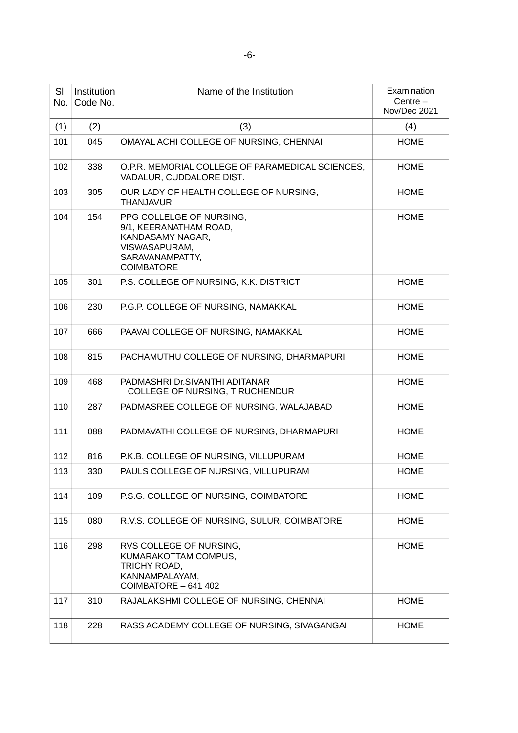| SI.<br>No. | Institution<br>Code No. | Name of the Institution                                                                                                         | Examination<br>Centre $-$<br>Nov/Dec 2021 |
|------------|-------------------------|---------------------------------------------------------------------------------------------------------------------------------|-------------------------------------------|
| (1)        | (2)                     | (3)                                                                                                                             | (4)                                       |
| 101        | 045                     | OMAYAL ACHI COLLEGE OF NURSING, CHENNAI                                                                                         | <b>HOME</b>                               |
| 102        | 338                     | O.P.R. MEMORIAL COLLEGE OF PARAMEDICAL SCIENCES,<br>VADALUR, CUDDALORE DIST.                                                    | <b>HOME</b>                               |
| 103        | 305                     | OUR LADY OF HEALTH COLLEGE OF NURSING,<br><b>THANJAVUR</b>                                                                      | <b>HOME</b>                               |
| 104        | 154                     | PPG COLLELGE OF NURSING,<br>9/1, KEERANATHAM ROAD,<br>KANDASAMY NAGAR,<br>VISWASAPURAM,<br>SARAVANAMPATTY,<br><b>COIMBATORE</b> | <b>HOME</b>                               |
| 105        | 301                     | P.S. COLLEGE OF NURSING, K.K. DISTRICT                                                                                          | <b>HOME</b>                               |
| 106        | 230                     | P.G.P. COLLEGE OF NURSING, NAMAKKAL                                                                                             | <b>HOME</b>                               |
| 107        | 666                     | PAAVAI COLLEGE OF NURSING, NAMAKKAL                                                                                             | <b>HOME</b>                               |
| 108        | 815                     | PACHAMUTHU COLLEGE OF NURSING, DHARMAPURI                                                                                       | <b>HOME</b>                               |
| 109        | 468                     | PADMASHRI Dr. SIVANTHI ADITANAR<br>COLLEGE OF NURSING, TIRUCHENDUR                                                              | <b>HOME</b>                               |
| 110        | 287                     | PADMASREE COLLEGE OF NURSING, WALAJABAD                                                                                         | <b>HOME</b>                               |
| 111        | 088                     | PADMAVATHI COLLEGE OF NURSING, DHARMAPURI                                                                                       | <b>HOME</b>                               |
| 112        | 816                     | P.K.B. COLLEGE OF NURSING, VILLUPURAM                                                                                           | <b>HOME</b>                               |
| 113        | 330                     | PAULS COLLEGE OF NURSING, VILLUPURAM                                                                                            | <b>HOME</b>                               |
| 114        | 109                     | P.S.G. COLLEGE OF NURSING, COIMBATORE                                                                                           | <b>HOME</b>                               |
| 115        | 080                     | R.V.S. COLLEGE OF NURSING, SULUR, COIMBATORE                                                                                    | <b>HOME</b>                               |
| 116        | 298                     | RVS COLLEGE OF NURSING,<br>KUMARAKOTTAM COMPUS,<br>TRICHY ROAD,<br>KANNAMPALAYAM,<br>COIMBATORE - 641 402                       | <b>HOME</b>                               |
| 117        | 310                     | RAJALAKSHMI COLLEGE OF NURSING, CHENNAI                                                                                         | <b>HOME</b>                               |
| 118        | 228                     | RASS ACADEMY COLLEGE OF NURSING, SIVAGANGAI                                                                                     | <b>HOME</b>                               |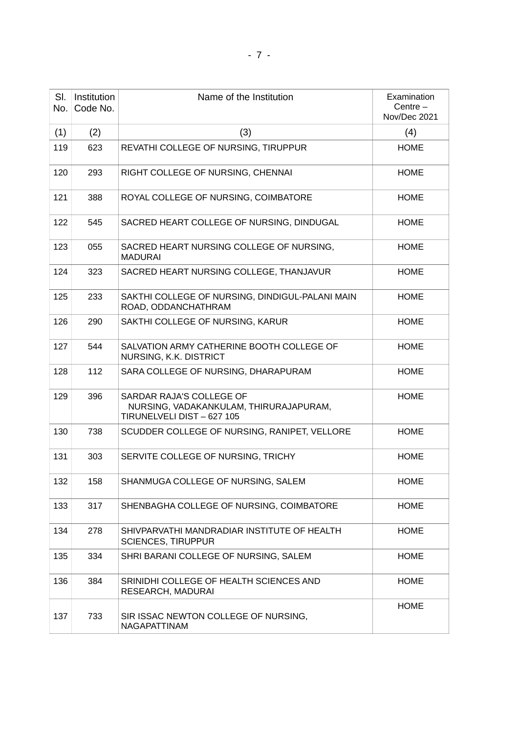| SI.<br>No. | Institution<br>Code No. | Name of the Institution                                                                          | Examination<br>Centre $-$<br>Nov/Dec 2021 |
|------------|-------------------------|--------------------------------------------------------------------------------------------------|-------------------------------------------|
| (1)        | (2)                     | (3)                                                                                              | (4)                                       |
| 119        | 623                     | REVATHI COLLEGE OF NURSING, TIRUPPUR                                                             | <b>HOME</b>                               |
| 120        | 293                     | RIGHT COLLEGE OF NURSING, CHENNAI                                                                | <b>HOME</b>                               |
| 121        | 388                     | ROYAL COLLEGE OF NURSING, COIMBATORE                                                             | <b>HOME</b>                               |
| 122        | 545                     | SACRED HEART COLLEGE OF NURSING, DINDUGAL                                                        | <b>HOME</b>                               |
| 123        | 055                     | SACRED HEART NURSING COLLEGE OF NURSING,<br><b>MADURAI</b>                                       | <b>HOME</b>                               |
| 124        | 323                     | SACRED HEART NURSING COLLEGE, THANJAVUR                                                          | <b>HOME</b>                               |
| 125        | 233                     | SAKTHI COLLEGE OF NURSING, DINDIGUL-PALANI MAIN<br>ROAD, ODDANCHATHRAM                           | <b>HOME</b>                               |
| 126        | 290                     | SAKTHI COLLEGE OF NURSING, KARUR                                                                 | <b>HOME</b>                               |
| 127        | 544                     | SALVATION ARMY CATHERINE BOOTH COLLEGE OF<br>NURSING, K.K. DISTRICT                              | <b>HOME</b>                               |
| 128        | 112                     | SARA COLLEGE OF NURSING, DHARAPURAM                                                              | <b>HOME</b>                               |
| 129        | 396                     | SARDAR RAJA'S COLLEGE OF<br>NURSING, VADAKANKULAM, THIRURAJAPURAM,<br>TIRUNELVELI DIST - 627 105 | <b>HOME</b>                               |
| 130        | 738                     | SCUDDER COLLEGE OF NURSING, RANIPET, VELLORE                                                     | <b>HOME</b>                               |
| 131        | 303                     | SERVITE COLLEGE OF NURSING, TRICHY                                                               | <b>HOME</b>                               |
| 132        | 158                     | SHANMUGA COLLEGE OF NURSING, SALEM                                                               | <b>HOME</b>                               |
| 133        | 317                     | SHENBAGHA COLLEGE OF NURSING, COIMBATORE                                                         | <b>HOME</b>                               |
| 134        | 278                     | SHIVPARVATHI MANDRADIAR INSTITUTE OF HEALTH<br><b>SCIENCES, TIRUPPUR</b>                         | <b>HOME</b>                               |
| 135        | 334                     | SHRI BARANI COLLEGE OF NURSING, SALEM                                                            | <b>HOME</b>                               |
| 136        | 384                     | SRINIDHI COLLEGE OF HEALTH SCIENCES AND<br>RESEARCH, MADURAI                                     | <b>HOME</b>                               |
| 137        | 733                     | SIR ISSAC NEWTON COLLEGE OF NURSING,<br>NAGAPATTINAM                                             | <b>HOME</b>                               |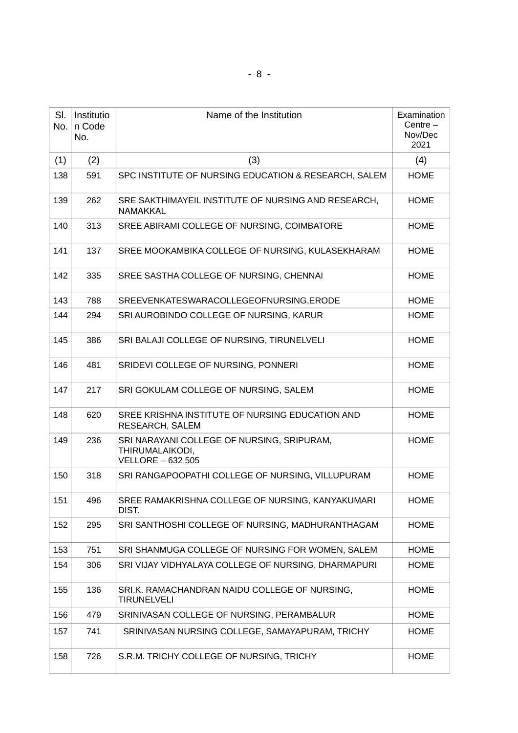| SI.<br>No. | Institutio<br>n Code<br>No. | Name of the Institution                                                                   | Examination<br>Centre $-$<br>Nov/Dec<br>2021 |
|------------|-----------------------------|-------------------------------------------------------------------------------------------|----------------------------------------------|
| (1)        | (2)                         | (3)                                                                                       | (4)                                          |
| 138        | 591                         | SPC INSTITUTE OF NURSING EDUCATION & RESEARCH, SALEM                                      | <b>HOME</b>                                  |
| 139        | 262                         | SRE SAKTHIMAYEIL INSTITUTE OF NURSING AND RESEARCH,<br>NAMAKKAL                           | <b>HOME</b>                                  |
| 140        | 313                         | SREE ABIRAMI COLLEGE OF NURSING, COIMBATORE                                               | <b>HOME</b>                                  |
| 141        | 137                         | SREE MOOKAMBIKA COLLEGE OF NURSING, KULASEKHARAM                                          | <b>HOME</b>                                  |
| 142        | 335                         | SREE SASTHA COLLEGE OF NURSING, CHENNAI                                                   | <b>HOME</b>                                  |
| 143        | 788                         | SREEVENKATESWARACOLLEGEOFNURSING, ERODE                                                   | <b>HOME</b>                                  |
| 144        | 294                         | SRI AUROBINDO COLLEGE OF NURSING, KARUR                                                   | <b>HOME</b>                                  |
| 145        | 386                         | SRI BALAJI COLLEGE OF NURSING, TIRUNELVELI                                                | <b>HOME</b>                                  |
| 146        | 481                         | SRIDEVI COLLEGE OF NURSING, PONNERI                                                       | <b>HOME</b>                                  |
| 147        | 217                         | SRI GOKULAM COLLEGE OF NURSING, SALEM                                                     | <b>HOME</b>                                  |
| 148        | 620                         | SREE KRISHNA INSTITUTE OF NURSING EDUCATION AND<br>RESEARCH, SALEM                        | <b>HOME</b>                                  |
| 149        | 236                         | SRI NARAYANI COLLEGE OF NURSING, SRIPURAM,<br>THIRUMALAIKODI,<br><b>VELLORE - 632 505</b> | <b>HOME</b>                                  |
| 150        | 318                         | SRI RANGAPOOPATHI COLLEGE OF NURSING, VILLUPURAM                                          | <b>HOME</b>                                  |
| 151        | 496                         | SREE RAMAKRISHNA COLLEGE OF NURSING, KANYAKUMARI<br>DIST.                                 | <b>HOME</b>                                  |
| 152        | 295                         | SRI SANTHOSHI COLLEGE OF NURSING, MADHURANTHAGAM                                          | <b>HOME</b>                                  |
| 153        | 751                         | SRI SHANMUGA COLLEGE OF NURSING FOR WOMEN, SALEM                                          | <b>HOME</b>                                  |
| 154        | 306                         | SRI VIJAY VIDHYALAYA COLLEGE OF NURSING, DHARMAPURI                                       | HOME                                         |
| 155        | 136                         | SRI.K. RAMACHANDRAN NAIDU COLLEGE OF NURSING,<br><b>TIRUNELVELI</b>                       | <b>HOME</b>                                  |
| 156        | 479                         | SRINIVASAN COLLEGE OF NURSING, PERAMBALUR                                                 | <b>HOME</b>                                  |
| 157        | 741                         | SRINIVASAN NURSING COLLEGE, SAMAYAPURAM, TRICHY                                           | <b>HOME</b>                                  |
| 158        | 726                         | S.R.M. TRICHY COLLEGE OF NURSING, TRICHY                                                  | <b>HOME</b>                                  |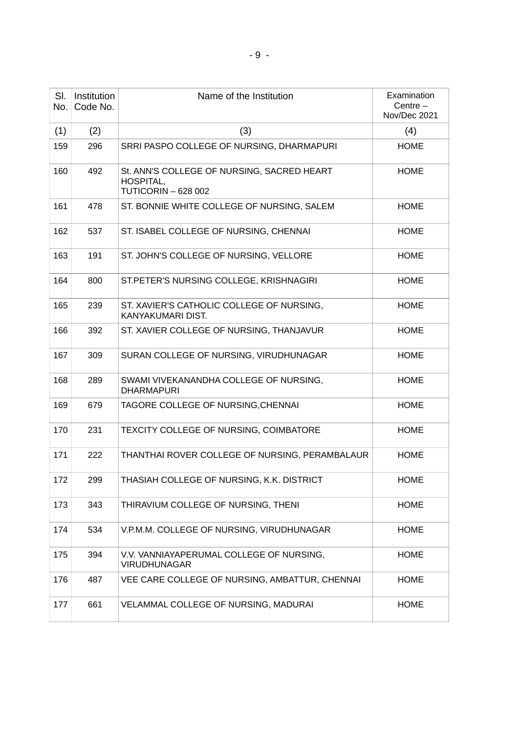| SI.<br>No. | Institution<br>Code No. | Name of the Institution                                                               | Examination<br>Centre $-$<br>Nov/Dec 2021 |
|------------|-------------------------|---------------------------------------------------------------------------------------|-------------------------------------------|
| (1)        | (2)                     | (3)                                                                                   | (4)                                       |
| 159        | 296                     | SRRI PASPO COLLEGE OF NURSING, DHARMAPURI                                             | <b>HOME</b>                               |
| 160        | 492                     | St. ANN'S COLLEGE OF NURSING, SACRED HEART<br>HOSPITAL,<br><b>TUTICORIN - 628 002</b> | <b>HOME</b>                               |
| 161        | 478                     | ST. BONNIE WHITE COLLEGE OF NURSING, SALEM                                            | <b>HOME</b>                               |
| 162        | 537                     | ST. ISABEL COLLEGE OF NURSING, CHENNAI                                                | <b>HOME</b>                               |
| 163        | 191                     | ST. JOHN'S COLLEGE OF NURSING, VELLORE                                                | <b>HOME</b>                               |
| 164        | 800                     | ST.PETER'S NURSING COLLEGE, KRISHNAGIRI                                               | <b>HOME</b>                               |
| 165        | 239                     | ST. XAVIER'S CATHOLIC COLLEGE OF NURSING,<br>KANYAKUMARI DIST.                        | <b>HOME</b>                               |
| 166        | 392                     | ST. XAVIER COLLEGE OF NURSING, THANJAVUR                                              | <b>HOME</b>                               |
| 167        | 309                     | SURAN COLLEGE OF NURSING, VIRUDHUNAGAR                                                | <b>HOME</b>                               |
| 168        | 289                     | SWAMI VIVEKANANDHA COLLEGE OF NURSING,<br><b>DHARMAPURI</b>                           | <b>HOME</b>                               |
| 169        | 679                     | TAGORE COLLEGE OF NURSING, CHENNAI                                                    | <b>HOME</b>                               |
| 170        | 231                     | TEXCITY COLLEGE OF NURSING, COIMBATORE                                                | <b>HOME</b>                               |
| 171        | 222                     | THANTHAI ROVER COLLEGE OF NURSING, PERAMBALAUR                                        | <b>HOME</b>                               |
| 172        | 299                     | THASIAH COLLEGE OF NURSING, K.K. DISTRICT                                             | <b>HOME</b>                               |
| 173        | 343                     | THIRAVIUM COLLEGE OF NURSING, THENI                                                   | <b>HOME</b>                               |
| 174        | 534                     | V.P.M.M. COLLEGE OF NURSING, VIRUDHUNAGAR                                             | <b>HOME</b>                               |
| 175        | 394                     | V.V. VANNIAYAPERUMAL COLLEGE OF NURSING,<br><b>VIRUDHUNAGAR</b>                       | <b>HOME</b>                               |
| 176        | 487                     | VEE CARE COLLEGE OF NURSING, AMBATTUR, CHENNAI                                        | <b>HOME</b>                               |
| 177        | 661                     | VELAMMAL COLLEGE OF NURSING, MADURAI                                                  | <b>HOME</b>                               |